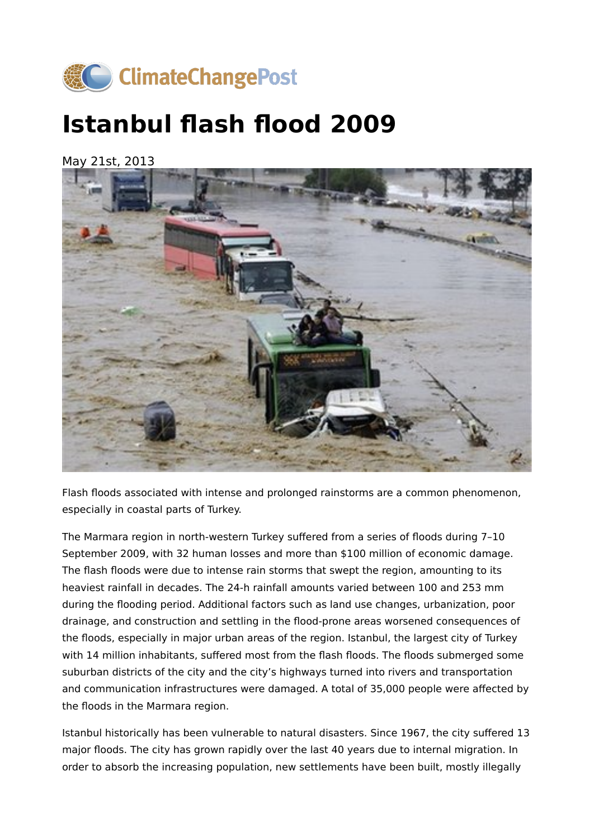

## **Istanbul flash flood 2009**

May 21st, 2013



Flash floods associated with intense and prolonged rainstorms are a common phenomenon, especially in coastal parts of Turkey.

The Marmara region in north-western Turkey suffered from a series of floods during 7–10 September 2009, with 32 human losses and more than \$100 million of economic damage. The flash floods were due to intense rain storms that swept the region, amounting to its heaviest rainfall in decades. The 24-h rainfall amounts varied between 100 and 253 mm during the flooding period. Additional factors such as land use changes, urbanization, poor drainage, and construction and settling in the flood-prone areas worsened consequences of the floods, especially in major urban areas of the region. Istanbul, the largest city of Turkey with 14 million inhabitants, suffered most from the flash floods. The floods submerged some suburban districts of the city and the city's highways turned into rivers and transportation and communication infrastructures were damaged. A total of 35,000 people were affected by the floods in the Marmara region.

Istanbul historically has been vulnerable to natural disasters. Since 1967, the city suffered 13 major floods. The city has grown rapidly over the last 40 years due to internal migration. In order to absorb the increasing population, new settlements have been built, mostly illegally